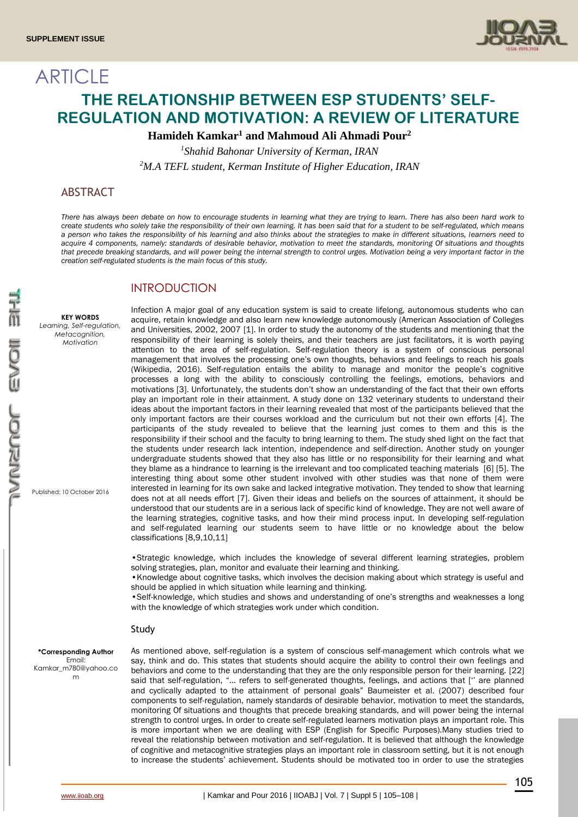

# **ARTICLE THE RELATIONSHIP BETWEEN ESP STUDENTS' SELF-REGULATION AND MOTIVATION: A REVIEW OF LITERATURE**

**Hamideh Kamkar<sup>1</sup> and Mahmoud Ali Ahmadi Pour<sup>2</sup>**

*1 Shahid Bahonar University of Kerman, IRAN <sup>2</sup>M.A TEFL student, Kerman Institute of Higher Education, IRAN*

# ABSTRACT

*There has always been debate on how to encourage students in learning what they are trying to learn. There has also been hard work to create students who solely take the responsibility of their own learning. It has been said that for a student to be self-regulated, which means a person who takes the responsibility of his learning and also thinks about the strategies to make in different situations, learners need to acquire 4 components, namely: standards of desirable behavior, motivation to meet the standards, monitoring Of situations and thoughts that precede breaking standards, and will power being the internal strength to control urges. Motivation being a very important factor in the creation self-regulated students is the main focus of this study.* 

# **INTRODUCTION**

**KEY WORDS** *Learning, Self-regulation, Metacognition, Motivation*

Published: 10 October 2016

Infection A major goal of any education system is said to create lifelong, autonomous students who can acquire, retain knowledge and also learn new knowledge autonomously (American Association of Colleges and Universities, 2002, 2007 [1]. In order to study the autonomy of the students and mentioning that the responsibility of their learning is solely theirs, and their teachers are just facilitators, it is worth paying attention to the area of self-regulation. Self-regulation theory is a system of conscious personal management that involves the processing one's own thoughts, behaviors and feelings to reach his goals (Wikipedia, 2016). Self-regulation entails the ability to manage and monitor the people's cognitive processes a long with the ability to consciously controlling the feelings, emotions, behaviors and motivations [3]. Unfortunately, the students don't show an understanding of the fact that their own efforts play an important role in their attainment. A study done on 132 veterinary students to understand their ideas about the important factors in their learning revealed that most of the participants believed that the only important factors are their courses workload and the curriculum but not their own efforts [4]. The participants of the study revealed to believe that the learning just comes to them and this is the responsibility if their school and the faculty to bring learning to them. The study shed light on the fact that the students under research lack intention, independence and self-direction. Another study on younger undergraduate students showed that they also has little or no responsibility for their learning and what they blame as a hindrance to learning is the irrelevant and too complicated teaching materials [6] [5]. The interesting thing about some other student involved with other studies was that none of them were interested in learning for its own sake and lacked integrative motivation. They tended to show that learning does not at all needs effort [7]. Given their ideas and beliefs on the sources of attainment, it should be understood that our students are in a serious lack of specific kind of knowledge. They are not well aware of the learning strategies, cognitive tasks, and how their mind process input. In developing self-regulation and self-regulated learning our students seem to have little or no knowledge about the below classifications [8,9,10,11]

•Strategic knowledge, which includes the knowledge of several different learning strategies, problem solving strategies, plan, monitor and evaluate their learning and thinking.

•Knowledge about cognitive tasks, which involves the decision making about which strategy is useful and should be applied in which situation while learning and thinking.

•Self-knowledge, which studies and shows and understanding of one's strengths and weaknesses a long with the knowledge of which strategies work under which condition.

#### Study

**\*Corresponding Author** Email: Kamkar\_m780@yahoo.co m

As mentioned above, self-regulation is a system of conscious self-management which controls what we say, think and do. This states that students should acquire the ability to control their own feelings and behaviors and come to the understanding that they are the only responsible person for their learning. [22] said that self-regulation, "… refers to self-generated thoughts, feelings, and actions that ['' are planned and cyclically adapted to the attainment of personal goals" Baumeister et al. (2007) described four components to self-regulation, namely standards of desirable behavior, motivation to meet the standards, monitoring Of situations and thoughts that precede breaking standards, and will power being the internal strength to control urges. In order to create self-regulated learners motivation plays an important role. This is more important when we are dealing with ESP (English for Specific Purposes).Many studies tried to reveal the relationship between motivation and self-regulation. It is believed that although the knowledge of cognitive and metacognitive strategies plays an important role in classroom setting, but it is not enough to increase the students' achievement. Students should be motivated too in order to use the strategies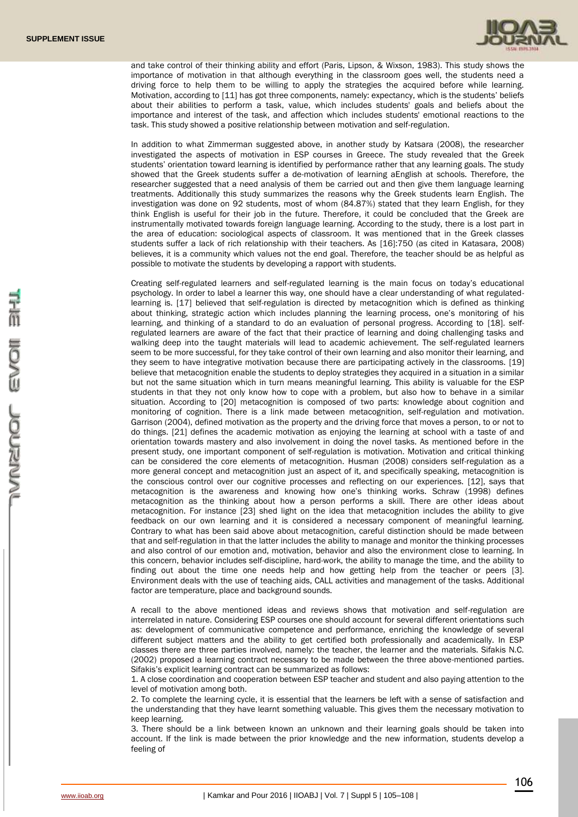

and take control of their thinking ability and effort (Paris, Lipson, & Wixson, 1983). This study shows the importance of motivation in that although everything in the classroom goes well, the students need a driving force to help them to be willing to apply the strategies the acquired before while learning. Motivation, according to [11] has got three components, namely: expectancy, which is the students' beliefs about their abilities to perform a task, value, which includes students' goals and beliefs about the importance and interest of the task, and affection which includes students' emotional reactions to the task. This study showed a positive relationship between motivation and self-regulation.

In addition to what Zimmerman suggested above, in another study by Katsara (2008), the researcher investigated the aspects of motivation in ESP courses in Greece. The study revealed that the Greek students' orientation toward learning is identified by performance rather that any learning goals. The study showed that the Greek students suffer a de-motivation of learning aEnglish at schools. Therefore, the researcher suggested that a need analysis of them be carried out and then give them language learning treatments. Additionally this study summarizes the reasons why the Greek students learn English. The investigation was done on 92 students, most of whom (84.87%) stated that they learn English, for they think English is useful for their job in the future. Therefore, it could be concluded that the Greek are instrumentally motivated towards foreign language learning. According to the study, there is a lost part in the area of education: sociological aspects of classroom. It was mentioned that in the Greek classes students suffer a lack of rich relationship with their teachers. As [16]:750 (as cited in Katasara, 2008) believes, it is a community which values not the end goal. Therefore, the teacher should be as helpful as possible to motivate the students by developing a rapport with students.

Creating self-regulated learners and self-regulated learning is the main focus on today's educational psychology. In order to label a learner this way, one should have a clear understanding of what regulatedlearning is. [17] believed that self-regulation is directed by metacognition which is defined as thinking about thinking, strategic action which includes planning the learning process, one's monitoring of his learning, and thinking of a standard to do an evaluation of personal progress. According to [18]. selfregulated learners are aware of the fact that their practice of learning and doing challenging tasks and walking deep into the taught materials will lead to academic achievement. The self-regulated learners seem to be more successful, for they take control of their own learning and also monitor their learning, and they seem to have integrative motivation because there are participating actively in the classrooms. [19] believe that metacognition enable the students to deploy strategies they acquired in a situation in a similar but not the same situation which in turn means meaningful learning. This ability is valuable for the ESP students in that they not only know how to cope with a problem, but also how to behave in a similar situation. According to [20] metacognition is composed of two parts: knowledge about cognition and monitoring of cognition. There is a link made between metacognition, self-regulation and motivation. Garrison (2004), defined motivation as the property and the driving force that moves a person, to or not to do things. [21] defines the academic motivation as enjoying the learning at school with a taste of and orientation towards mastery and also involvement in doing the novel tasks. As mentioned before in the present study, one important component of self-regulation is motivation. Motivation and critical thinking can be considered the core elements of metacognition. Husman (2008) considers self-regulation as a more general concept and metacognition just an aspect of it, and specifically speaking, metacognition is the conscious control over our cognitive processes and reflecting on our experiences. [12], says that metacognition is the awareness and knowing how one's thinking works. Schraw (1998) defines metacognition as the thinking about how a person performs a skill. There are other ideas about metacognition. For instance [23] shed light on the idea that metacognition includes the ability to give feedback on our own learning and it is considered a necessary component of meaningful learning. Contrary to what has been said above about metacognition, careful distinction should be made between that and self-regulation in that the latter includes the ability to manage and monitor the thinking processes and also control of our emotion and, motivation, behavior and also the environment close to learning. In this concern, behavior includes self-discipline, hard-work, the ability to manage the time, and the ability to finding out about the time one needs help and how getting help from the teacher or peers [3]. Environment deals with the use of teaching aids, CALL activities and management of the tasks. Additional factor are temperature, place and background sounds.

A recall to the above mentioned ideas and reviews shows that motivation and self-regulation are interrelated in nature. Considering ESP courses one should account for several different orientations such as: development of communicative competence and performance, enriching the knowledge of several different subject matters and the ability to get certified both professionally and academically. In ESP classes there are three parties involved, namely: the teacher, the learner and the materials. Sifakis N.C. (2002) proposed a learning contract necessary to be made between the three above-mentioned parties. Sifakis's explicit learning contract can be summarized as follows:

1. A close coordination and cooperation between ESP teacher and student and also paying attention to the level of motivation among both.

2. To complete the learning cycle, it is essential that the learners be left with a sense of satisfaction and the understanding that they have learnt something valuable. This gives them the necessary motivation to keep learning.

3. There should be a link between known an unknown and their learning goals should be taken into account. If the link is made between the prior knowledge and the new information, students develop a feeling of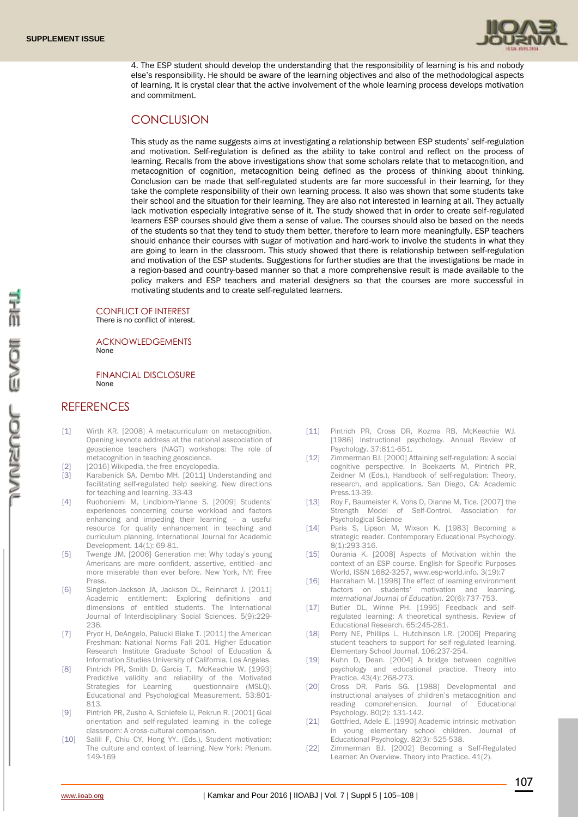

4. The ESP student should develop the understanding that the responsibility of learning is his and nobody else's responsibility. He should be aware of the learning objectives and also of the methodological aspects of learning. It is crystal clear that the active involvement of the whole learning process develops motivation and commitment.

### **CONCLUSION**

This study as the name suggests aims at investigating a relationship between ESP students' self-regulation and motivation. Self-regulation is defined as the ability to take control and reflect on the process of learning. Recalls from the above investigations show that some scholars relate that to metacognition, and metacognition of cognition, metacognition being defined as the process of thinking about thinking. Conclusion can be made that self-regulated students are far more successful in their learning, for they take the complete responsibility of their own learning process. It also was shown that some students take their school and the situation for their learning. They are also not interested in learning at all. They actually lack motivation especially integrative sense of it. The study showed that in order to create self-regulated learners ESP courses should give them a sense of value. The courses should also be based on the needs of the students so that they tend to study them better, therefore to learn more meaningfully. ESP teachers should enhance their courses with sugar of motivation and hard-work to involve the students in what they are going to learn in the classroom. This study showed that there is relationship between self-regulation and motivation of the ESP students. Suggestions for further studies are that the investigations be made in a region-based and country-based manner so that a more comprehensive result is made available to the policy makers and ESP teachers and material designers so that the courses are more successful in motivating students and to create self-regulated learners.

CONFLICT OF INTEREST There is no conflict of interest.

ACKNOWLEDGEMENTS None

FINANCIAL DISCLOSURE None

# **REFERENCES**

- [1] Wirth KR. [2008] A metacurriculum on metacognition. Opening keynote address at the national asscociation of geoscience teachers (NAGT) workshops: The role of metacognition in teaching geoscience.
- [2] [2016] Wikipedia, the free encyclopedia.
- [3] Karabenick SA, Dembo MH. [2011] Understanding and facilitating self-regulated help seeking. New directions for teaching and learning. 33-43
- [4] Ruohoniemi M, Lindblom-Ylanne S, [2009] Students' experiences concerning course workload and factors enhancing and impeding their learning – a useful resource for quality enhancement in teaching and curriculum planning. International Journal for Academic Development. 14(1): 69-81.
- [5] Twenge JM. [2006] Generation me: Why today's young Americans are more confident, assertive, entitled—and more miserable than ever before. New York, NY: Free Press.
- [6] Singleton-Jackson JA, Jackson DL, Reinhardt J. [2011] Academic entitlement: Exploring definitions and dimensions of entitled students. The International Journal of Interdisciplinary Social Sciences. 5(9):229- 236.
- [7] Pryor H, DeAngelo, Palucki Blake T. [2011] the American Freshman: National Norms Fall 201. Higher Education Research Institute Graduate School of Education & Information Studies University of California, Los Angeles.
- [8] Pintrich PR, Smith D, Garcia T, McKeachie W. [1993] Predictive validity and reliability of the Motivated<br>Strategies for Learning questionnaire (MSLO), Strategies for Learning Educational and Psychological Measurement. 53:801- 813.
- [9] Pintrich PR, Zusho A, Schiefele U, Pekrun R. [2001] Goal orientation and self-regulated learning in the college classroom: A cross-cultural comparison.
- [10] Salili F, Chiu CY, Hong YY. (Eds.), Student motivation: The culture and context of learning. New York: Plenum. 149-169
- [11] Pintrich PR, Cross DR, Kozma RB, McKeachie WJ. [1986] Instructional psychology. Annual Review of Psychology. 37:611-651.
- [12] Zimmerman BJ. [2000] Attaining self-regulation: A social cognitive perspective. In Boekaerts M, Pintrich PR, Zeidner M (Eds.), Handbook of self-regulation: Theory, research, and applications. San Diego, CA: Academic Press.13-39.
- [13] Roy F, Baumeister K, Vohs D, Dianne M, Tice. [2007] the Strength Model of Self-Control. Association for Psychological Science
- [14] Paris S, Lipson M, Wixson K. [1983] Becoming a strategic reader. Contemporary Educational Psychology. 8(1):293-316.
- [15] Ourania K. [2008] Aspects of Motivation within the context of an ESP course. English for Specific Purposes World, ISSN 1682-3257, www.esp-world.info. 3(19):7
- [16] Hanraham M. [1998] The effect of learning environment factors on students' motivation and learning. *International Journal of Education.* 20(6):737-753.
- [17] Butler DL, Winne PH. [1995] Feedback and selfregulated learning: A theoretical synthesis. Review of Educational Research. 65:245-281.
- [18] Perry NE, Phillips L, Hutchinson LR. [2006] Preparing student teachers to support for self-regulated learning. Elementary School Journal. 106:237-254.
- [19] Kuhn D, Dean. [2004] A bridge between cognitive psychology and educational practice. Theory into Practice. 43(4): 268-273.
- [20] Cross DR, Paris SG, [1988] Developmental and instructional analyses of children's metacognition and reading comprehension. Journal of Educational Psychology. 80(2): 131-142.
- [21] Gottfried, Adele E. [1990] Academic intrinsic motivation in young elementary school children. Journal of Educational Psychology. 82(3): 525-538.
- [22] Zimmerman BJ. [2002] Becoming a Self-Regulated Learner: An Overview. Theory into Practice. 41(2).